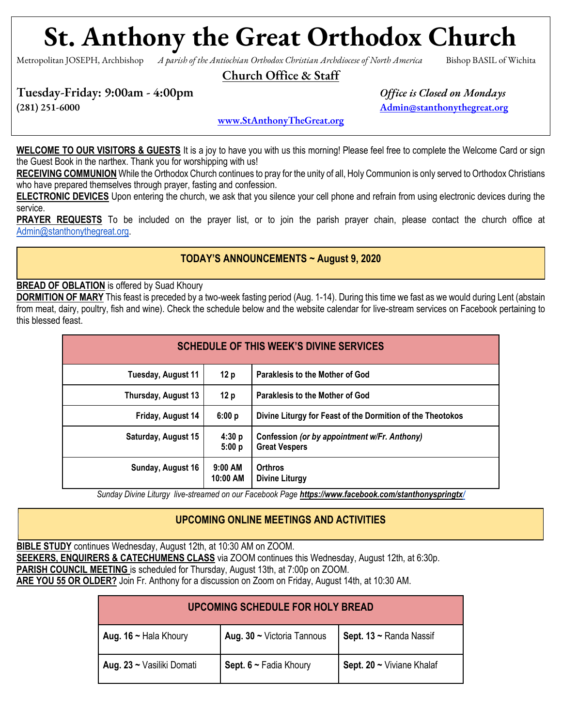# **St. Anthony the Great Orthodox Church**

Metropolitan JOSEPH, Archbishop *A parish of the Antiochian Orthodox Christian Archdiocese of North America* Bishop BASIL of Wichita

Church Office & Staff

Tuesday-Friday: 9:00am - 4:00pm *Office is Closed on Mondays*

(281) 251-6000 [Admin@stanthonythegreat.org](mailto:Admin@stanthonythegreat.org)

[www.StAnthonyTheGreat.org](http://www.stanthonythegreat.org/)

**WELCOME TO OUR VISITORS & GUESTS** It is a joy to have you with us this morning! Please feel free to complete the Welcome Card or sign the Guest Book in the narthex. Thank you for worshipping with us!

**RECEIVING COMMUNION** While the Orthodox Church continues to pray for the unity of all, Holy Communion is only served to Orthodox Christians who have prepared themselves through prayer, fasting and confession.

**ELECTRONIC DEVICES** Upon entering the church, we ask that you silence your cell phone and refrain from using electronic devices during the service.

**PRAYER REQUESTS** To be included on the prayer list, or to join the parish prayer chain, please contact the church office at [Admin@stanthonythegreat.org.](mailto:Admin@stanthonythegreat.org)

#### **TODAY'S ANNOUNCEMENTS ~ August 9, 2020**

**BREAD OF OBLATION** is offered by Suad Khoury

**DORMITION OF MARY** This feast is preceded by a two-week fasting period (Aug. 1-14). During this time we fast as we would during Lent (abstain from meat, dairy, poultry, fish and wine). Check the schedule below and the website calendar for live-stream services on Facebook pertaining to this blessed feast.

| SCHEDULE OF THIS WEEK'S DIVINE SERVICES |                       |                                                                      |  |
|-----------------------------------------|-----------------------|----------------------------------------------------------------------|--|
| Tuesday, August 11                      | 12p                   | Paraklesis to the Mother of God                                      |  |
| Thursday, August 13                     | 12p                   | Paraklesis to the Mother of God                                      |  |
| Friday, August 14                       | 6:00 p                | Divine Liturgy for Feast of the Dormition of the Theotokos           |  |
| Saturday, August 15                     | 4:30 p<br>5:00 p      | Confession (or by appointment w/Fr. Anthony)<br><b>Great Vespers</b> |  |
| Sunday, August 16                       | $9:00$ AM<br>10:00 AM | <b>Orthros</b><br>Divine Liturgy                                     |  |

*Sunday Divine Liturgy live-streamed on our Facebook Page <https://www.facebook.com/stanthonyspringtx/>*

#### **UPCOMING ONLINE MEETINGS AND ACTIVITIES**

**BIBLE STUDY** continues Wednesday, August 12th, at 10:30 AM on ZOOM. **SEEKERS, ENQUIRERS & CATECHUMENS CLASS** via ZOOM continues this Wednesday, August 12th, at 6:30p. **PARISH COUNCIL MEETING** is scheduled for Thursday, August 13th, at 7:00p on ZOOM. **ARE YOU 55 OR OLDER?** Join Fr. Anthony for a discussion on Zoom on Friday, August 14th, at 10:30 AM.

| UPCOMING SCHEDULE FOR HOLY BREAD |                                 |                           |  |  |
|----------------------------------|---------------------------------|---------------------------|--|--|
| Aug. 16 $\sim$ Hala Khoury       | Aug. $30 \sim$ Victoria Tannous | Sept. 13 ~ Randa Nassif   |  |  |
| Aug. 23 ~ Vasiliki Domati        | Sept. $6 \sim$ Fadia Khoury     | Sept. 20 ~ Viviane Khalaf |  |  |